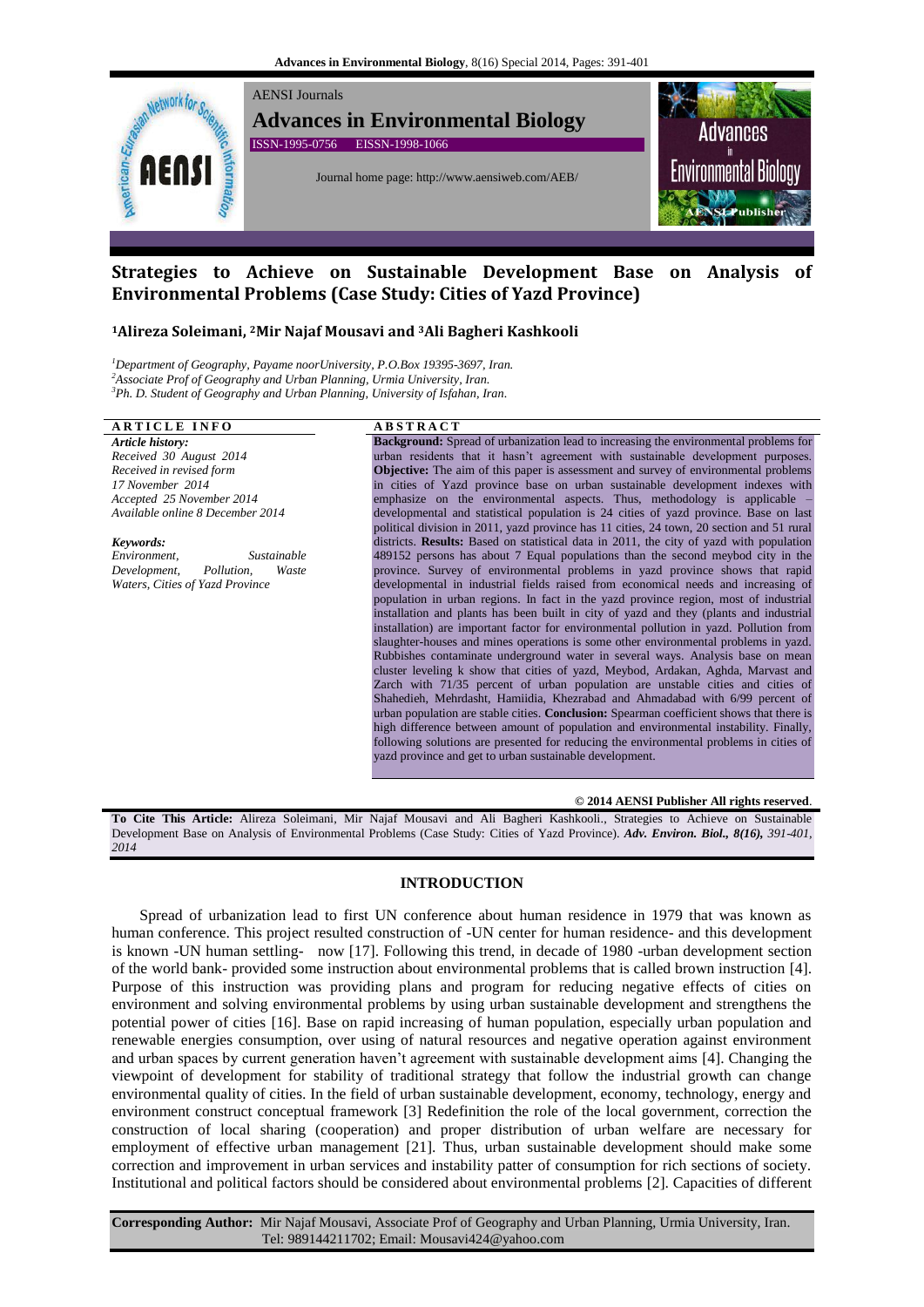

# **Strategies to Achieve on Sustainable Development Base on Analysis of Environmental Problems (Case Study: Cities of Yazd Province)**

## **<sup>1</sup>Alireza Soleimani, 2Mir Najaf Mousavi and <sup>3</sup>Ali Bagheri Kashkooli**

*<sup>1</sup>Department of Geography, Payame noorUniversity, P.O.Box 19395-3697, Iran. <sup>2</sup>Associate Prof of Geography and Urban Planning, Urmia University, Iran. <sup>3</sup>Ph. D. Student of Geography and Urban Planning, University of Isfahan, Iran.*

## **A R T I C L E I N F O A B S T R A C T**

*Article history: Received 30 August 2014 Received in revised form 17 November 2014 Accepted 25 November 2014 Available online 8 December 2014*

*Keywords: Environment, Sustainable Development, Pollution, Waste Waters, Cities of Yazd Province*

**Background:** Spread of urbanization lead to increasing the environmental problems for urban residents that it hasn't agreement with sustainable development purposes. **Objective:** The aim of this paper is assessment and survey of environmental problems in cities of Yazd province base on urban sustainable development indexes with emphasize on the environmental aspects. Thus, methodology is applicable – developmental and statistical population is 24 cities of yazd province. Base on last political division in 2011, yazd province has 11 cities, 24 town, 20 section and 51 rural districts. **Results:** Based on statistical data in 2011, the city of yazd with population 489152 persons has about 7 Equal populations than the second meybod city in the province. Survey of environmental problems in yazd province shows that rapid developmental in industrial fields raised from economical needs and increasing of population in urban regions. In fact in the yazd province region, most of industrial installation and plants has been built in city of yazd and they (plants and industrial installation) are important factor for environmental pollution in yazd. Pollution from slaughter-houses and mines operations is some other environmental problems in yazd. Rubbishes contaminate underground water in several ways. Analysis base on mean cluster leveling k show that cities of yazd, Meybod, Ardakan, Aghda, Marvast and Zarch with 71/35 percent of urban population are unstable cities and cities of Shahedieh, Mehrdasht, Hamiidia, Khezrabad and Ahmadabad with 6/99 percent of urban population are stable cities. **Conclusion:** Spearman coefficient shows that there is high difference between amount of population and environmental instability. Finally, following solutions are presented for reducing the environmental problems in cities of yazd province and get to urban sustainable development.

**© 2014 AENSI Publisher All rights reserved**.

**To Cite This Article:** Alireza Soleimani, Mir Najaf Mousavi and Ali Bagheri Kashkooli., Strategies to Achieve on Sustainable Development Base on Analysis of Environmental Problems (Case Study: Cities of Yazd Province). *Adv. Environ. Biol., 8(16), 391-401, 2014*

## **INTRODUCTION**

Spread of urbanization lead to first UN conference about human residence in 1979 that was known as human conference. This project resulted construction of -UN center for human residence- and this development is known -UN human settling- now [17]. Following this trend, in decade of 1980 -urban development section of the world bank- provided some instruction about environmental problems that is called brown instruction [4]. Purpose of this instruction was providing plans and program for reducing negative effects of cities on environment and solving environmental problems by using urban sustainable development and strengthens the potential power of cities [16]. Base on rapid increasing of human population, especially urban population and renewable energies consumption, over using of natural resources and negative operation against environment and urban spaces by current generation haven't agreement with sustainable development aims [4]. Changing the viewpoint of development for stability of traditional strategy that follow the industrial growth can change environmental quality of cities. In the field of urban sustainable development, economy, technology, energy and environment construct conceptual framework [3] Redefinition the role of the local government, correction the construction of local sharing (cooperation) and proper distribution of urban welfare are necessary for employment of effective urban management [21]. Thus, urban sustainable development should make some correction and improvement in urban services and instability patter of consumption for rich sections of society. Institutional and political factors should be considered about environmental problems [2]. Capacities of different

**Corresponding Author:** Mir Najaf Mousavi, Associate Prof of Geography and Urban Planning, Urmia University, Iran. Tel: 989144211702; Email: Mousavi424@yahoo.com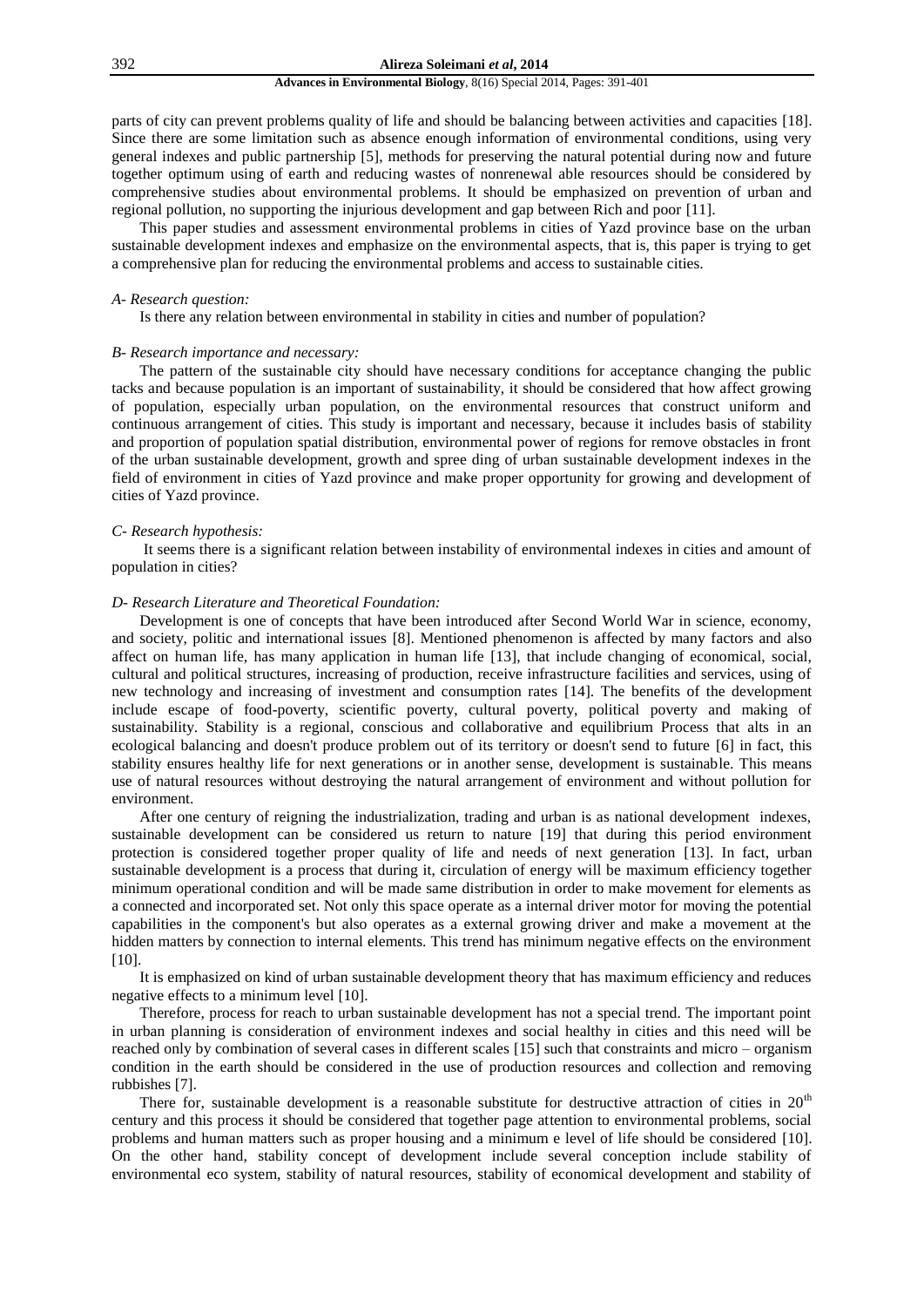parts of city can prevent problems quality of life and should be balancing between activities and capacities [18]. Since there are some limitation such as absence enough information of environmental conditions, using very general indexes and public partnership [5], methods for preserving the natural potential during now and future together optimum using of earth and reducing wastes of nonrenewal able resources should be considered by comprehensive studies about environmental problems. It should be emphasized on prevention of urban and regional pollution, no supporting the injurious development and gap between Rich and poor [11].

This paper studies and assessment environmental problems in cities of Yazd province base on the urban sustainable development indexes and emphasize on the environmental aspects, that is, this paper is trying to get a comprehensive plan for reducing the environmental problems and access to sustainable cities.

## *A- Research question:*

Is there any relation between environmental in stability in cities and number of population?

## *B- Research importance and necessary:*

The pattern of the sustainable city should have necessary conditions for acceptance changing the public tacks and because population is an important of sustainability, it should be considered that how affect growing of population, especially urban population, on the environmental resources that construct uniform and continuous arrangement of cities. This study is important and necessary, because it includes basis of stability and proportion of population spatial distribution, environmental power of regions for remove obstacles in front of the urban sustainable development, growth and spree ding of urban sustainable development indexes in the field of environment in cities of Yazd province and make proper opportunity for growing and development of cities of Yazd province.

#### *C- Research hypothesis:*

It seems there is a significant relation between instability of environmental indexes in cities and amount of population in cities?

## *D- Research Literature and Theoretical Foundation:*

Development is one of concepts that have been introduced after Second World War in science, economy, and society, politic and international issues [8]. Mentioned phenomenon is affected by many factors and also affect on human life, has many application in human life [13], that include changing of economical, social, cultural and political structures, increasing of production, receive infrastructure facilities and services, using of new technology and increasing of investment and consumption rates [14]. The benefits of the development include escape of food-poverty, scientific poverty, cultural poverty, political poverty and making of sustainability. Stability is a regional, conscious and collaborative and equilibrium Process that alts in an ecological balancing and doesn't produce problem out of its territory or doesn't send to future [6] in fact, this stability ensures healthy life for next generations or in another sense, development is sustainable. This means use of natural resources without destroying the natural arrangement of environment and without pollution for environment.

After one century of reigning the industrialization, trading and urban is as national development indexes, sustainable development can be considered us return to nature [19] that during this period environment protection is considered together proper quality of life and needs of next generation [13]. In fact, urban sustainable development is a process that during it, circulation of energy will be maximum efficiency together minimum operational condition and will be made same distribution in order to make movement for elements as a connected and incorporated set. Not only this space operate as a internal driver motor for moving the potential capabilities in the component's but also operates as a external growing driver and make a movement at the hidden matters by connection to internal elements. This trend has minimum negative effects on the environment [10].

It is emphasized on kind of urban sustainable development theory that has maximum efficiency and reduces negative effects to a minimum level [10].

Therefore, process for reach to urban sustainable development has not a special trend. The important point in urban planning is consideration of environment indexes and social healthy in cities and this need will be reached only by combination of several cases in different scales [15] such that constraints and micro – organism condition in the earth should be considered in the use of production resources and collection and removing rubbishes [7].

There for, sustainable development is a reasonable substitute for destructive attraction of cities in  $20<sup>th</sup>$ century and this process it should be considered that together page attention to environmental problems, social problems and human matters such as proper housing and a minimum e level of life should be considered [10]. On the other hand, stability concept of development include several conception include stability of environmental eco system, stability of natural resources, stability of economical development and stability of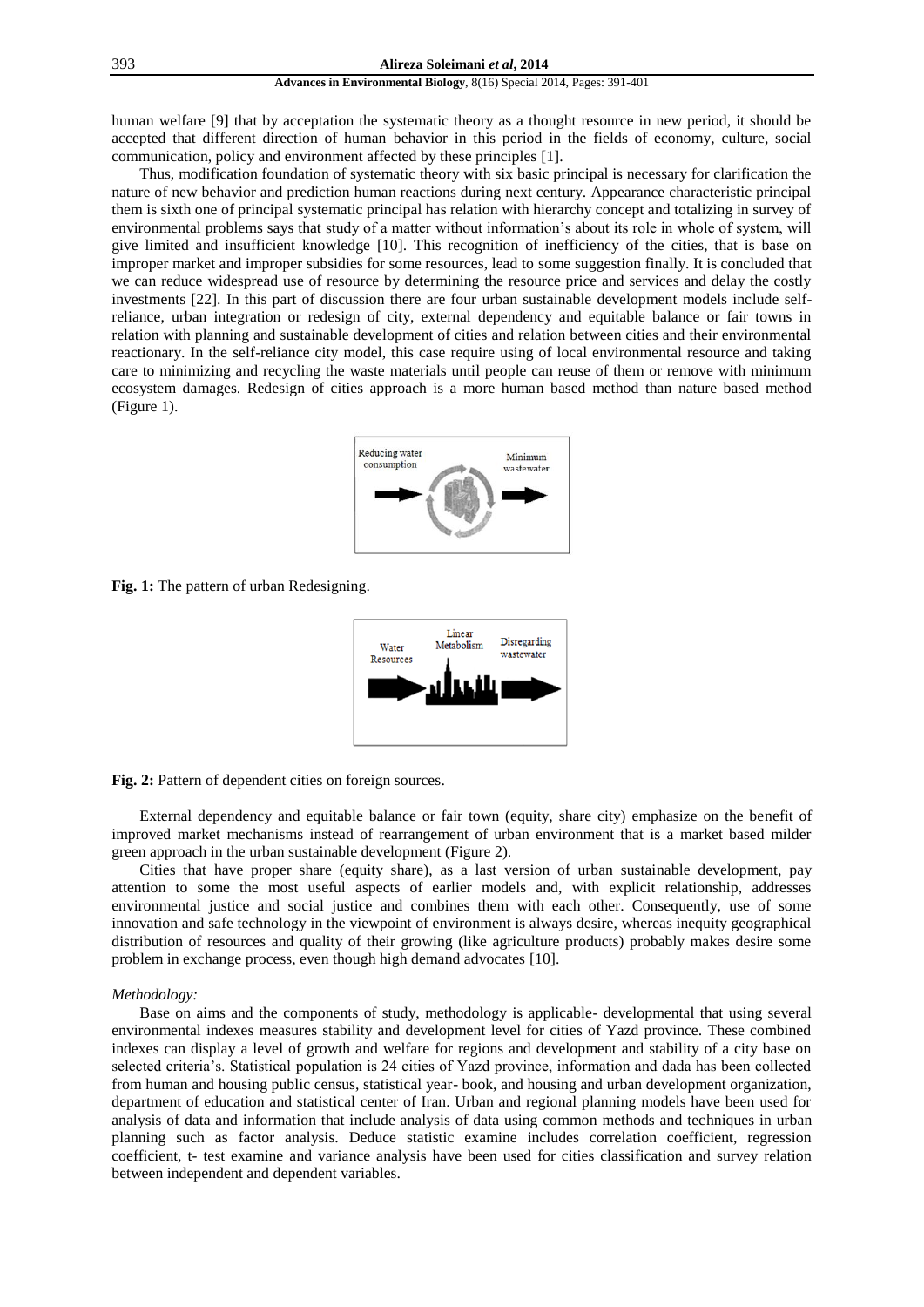human welfare [9] that by acceptation the systematic theory as a thought resource in new period, it should be accepted that different direction of human behavior in this period in the fields of economy, culture, social communication, policy and environment affected by these principles [1].

Thus, modification foundation of systematic theory with six basic principal is necessary for clarification the nature of new behavior and prediction human reactions during next century. Appearance characteristic principal them is sixth one of principal systematic principal has relation with hierarchy concept and totalizing in survey of environmental problems says that study of a matter without information's about its role in whole of system, will give limited and insufficient knowledge [10]. This recognition of inefficiency of the cities, that is base on improper market and improper subsidies for some resources, lead to some suggestion finally. It is concluded that we can reduce widespread use of resource by determining the resource price and services and delay the costly investments [22]. In this part of discussion there are four urban sustainable development models include selfreliance, urban integration or redesign of city, external dependency and equitable balance or fair towns in relation with planning and sustainable development of cities and relation between cities and their environmental reactionary. In the self-reliance city model, this case require using of local environmental resource and taking care to minimizing and recycling the waste materials until people can reuse of them or remove with minimum ecosystem damages. Redesign of cities approach is a more human based method than nature based method (Figure 1).



**Fig. 1:** The pattern of urban Redesigning.



**Fig. 2:** Pattern of dependent cities on foreign sources.

External dependency and equitable balance or fair town (equity, share city) emphasize on the benefit of improved market mechanisms instead of rearrangement of urban environment that is a market based milder green approach in the urban sustainable development (Figure 2).

Cities that have proper share (equity share), as a last version of urban sustainable development, pay attention to some the most useful aspects of earlier models and, with explicit relationship, addresses environmental justice and social justice and combines them with each other. Consequently, use of some innovation and safe technology in the viewpoint of environment is always desire, whereas inequity geographical distribution of resources and quality of their growing (like agriculture products) probably makes desire some problem in exchange process, even though high demand advocates [10].

## *Methodology:*

Base on aims and the components of study, methodology is applicable- developmental that using several environmental indexes measures stability and development level for cities of Yazd province. These combined indexes can display a level of growth and welfare for regions and development and stability of a city base on selected criteria's. Statistical population is 24 cities of Yazd province, information and dada has been collected from human and housing public census, statistical year- book, and housing and urban development organization, department of education and statistical center of Iran. Urban and regional planning models have been used for analysis of data and information that include analysis of data using common methods and techniques in urban planning such as factor analysis. Deduce statistic examine includes correlation coefficient, regression coefficient, t- test examine and variance analysis have been used for cities classification and survey relation between independent and dependent variables.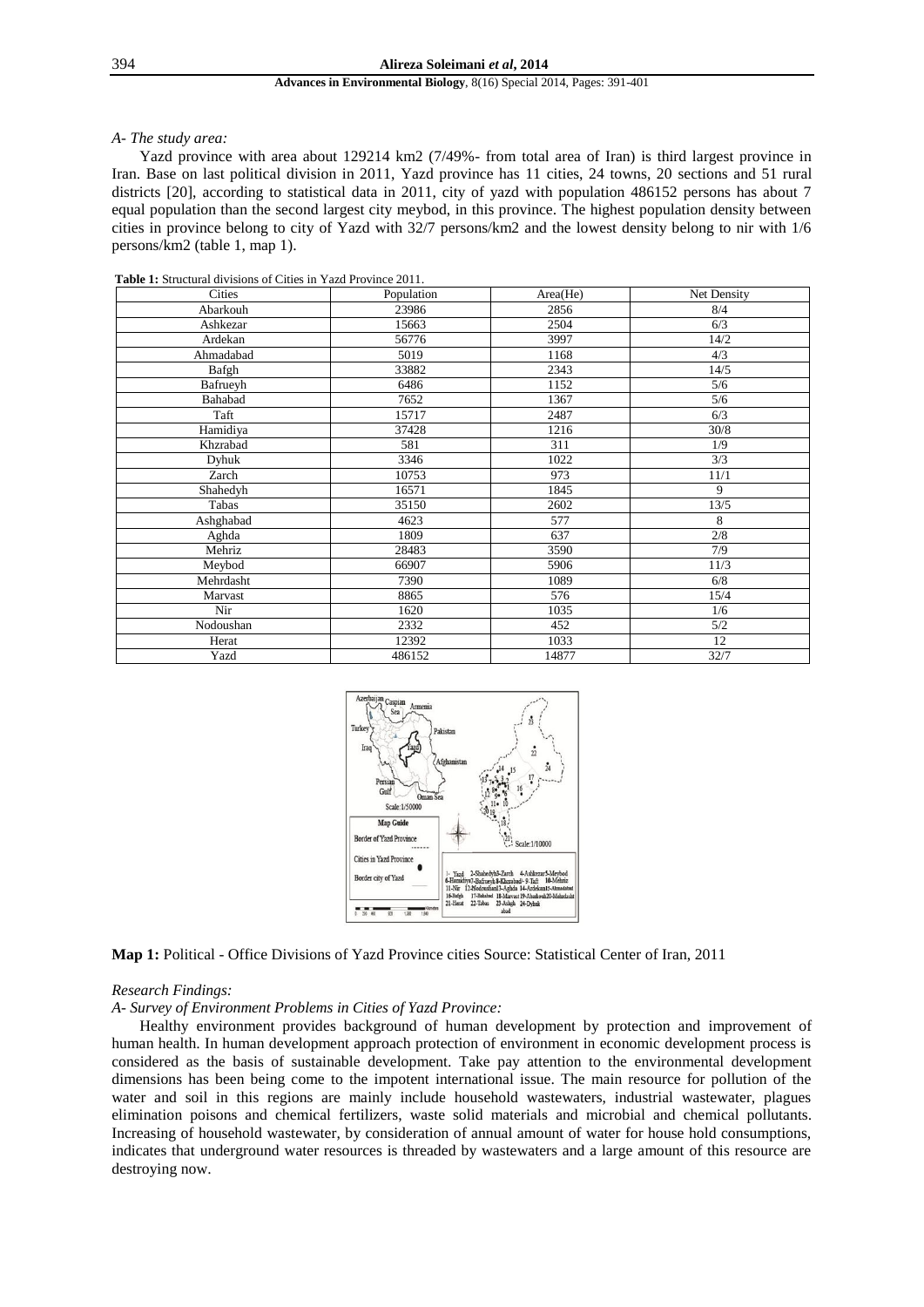#### *A- The study area:*

Yazd province with area about 129214 km2 (7/49%- from total area of Iran) is third largest province in Iran. Base on last political division in 2011, Yazd province has 11 cities, 24 towns, 20 sections and 51 rural districts [20], according to statistical data in 2011, city of yazd with population 486152 persons has about 7 equal population than the second largest city meybod, in this province. The highest population density between cities in province belong to city of Yazd with 32/7 persons/km2 and the lowest density belong to nir with 1/6 persons/km2 (table 1, map 1).

| <b>Table 1:</b> Structural divisions of Cities in Yazd Province 2011. |
|-----------------------------------------------------------------------|
|-----------------------------------------------------------------------|

| Cities    | Population | Area(He) | Net Density |
|-----------|------------|----------|-------------|
| Abarkouh  | 23986      | 2856     | 8/4         |
| Ashkezar  | 15663      | 2504     | 6/3         |
| Ardekan   | 56776      | 3997     | 14/2        |
| Ahmadabad | 5019       | 1168     | 4/3         |
| Bafgh     | 33882      | 2343     | 14/5        |
| Bafrueyh  | 6486       | 1152     | 5/6         |
| Bahabad   | 7652       | 1367     | 5/6         |
| Taft      | 15717      | 2487     | 6/3         |
| Hamidiya  | 37428      | 1216     | 30/8        |
| Khzrabad  | 581        | 311      | 1/9         |
| Dyhuk     | 3346       | 1022     | 3/3         |
| Zarch     | 10753      | 973      | 11/1        |
| Shahedyh  | 16571      | 1845     | 9           |
| Tabas     | 35150      | 2602     | 13/5        |
| Ashghabad | 4623       | 577      | 8           |
| Aghda     | 1809       | 637      | 2/8         |
| Mehriz    | 28483      | 3590     | 7/9         |
| Meybod    | 66907      | 5906     | 11/3        |
| Mehrdasht | 7390       | 1089     | 6/8         |
| Marvast   | 8865       | 576      | 15/4        |
| Nir       | 1620       | 1035     | 1/6         |
| Nodoushan | 2332       | 452      | 5/2         |
| Herat     | 12392      | 1033     | 12          |
| Yazd      | 486152     | 14877    | 32/7        |



**Map 1:** Political - Office Divisions of Yazd Province cities Source: Statistical Center of Iran, 2011

## *Research Findings:*

## *A- Survey of Environment Problems in Cities of Yazd Province:*

Healthy environment provides background of human development by protection and improvement of human health. In human development approach protection of environment in economic development process is considered as the basis of sustainable development. Take pay attention to the environmental development dimensions has been being come to the impotent international issue. The main resource for pollution of the water and soil in this regions are mainly include household wastewaters, industrial wastewater, plagues elimination poisons and chemical fertilizers, waste solid materials and microbial and chemical pollutants. Increasing of household wastewater, by consideration of annual amount of water for house hold consumptions, indicates that underground water resources is threaded by wastewaters and a large amount of this resource are destroying now.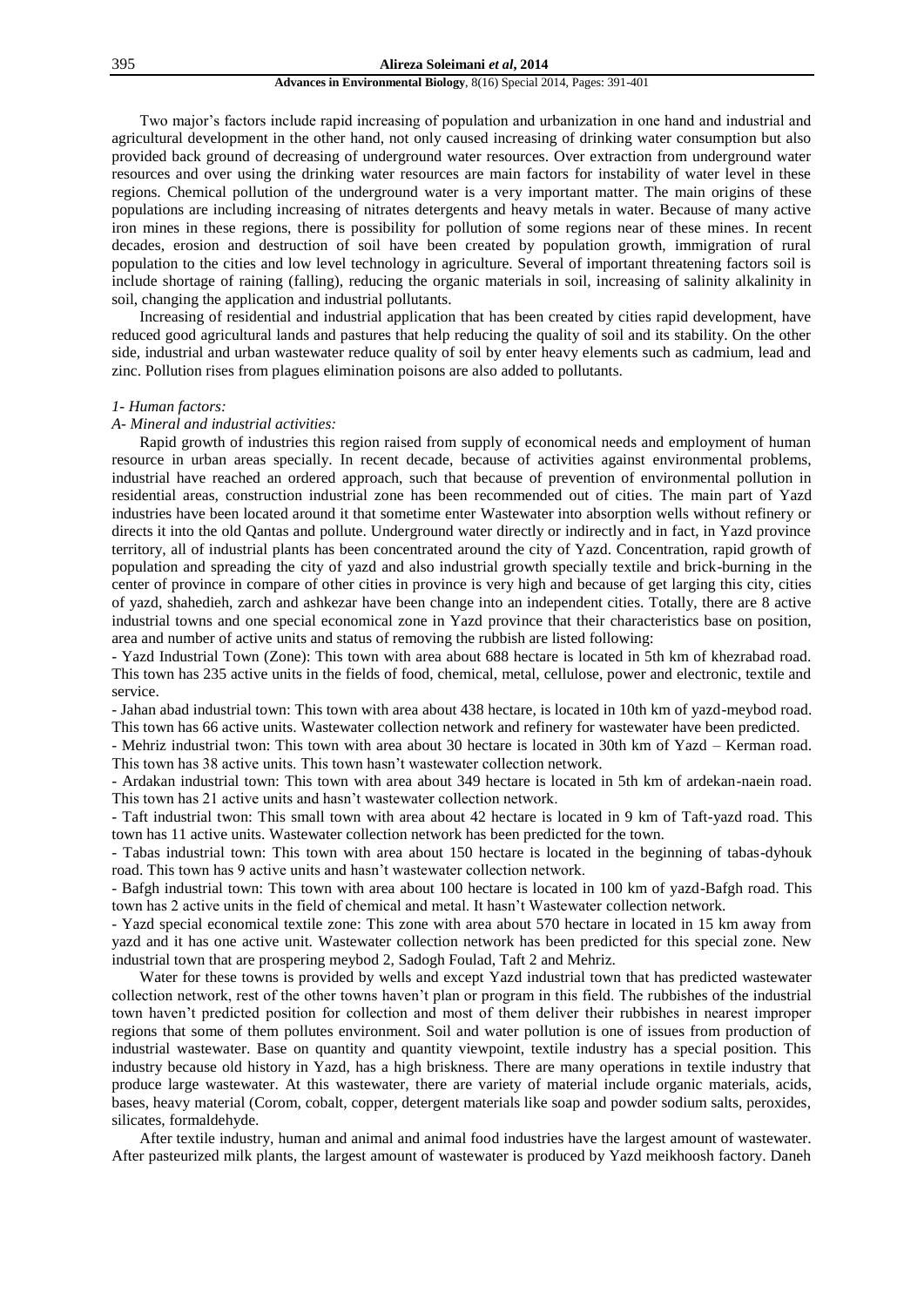Two major's factors include rapid increasing of population and urbanization in one hand and industrial and agricultural development in the other hand, not only caused increasing of drinking water consumption but also provided back ground of decreasing of underground water resources. Over extraction from underground water resources and over using the drinking water resources are main factors for instability of water level in these regions. Chemical pollution of the underground water is a very important matter. The main origins of these populations are including increasing of nitrates detergents and heavy metals in water. Because of many active iron mines in these regions, there is possibility for pollution of some regions near of these mines. In recent decades, erosion and destruction of soil have been created by population growth, immigration of rural population to the cities and low level technology in agriculture. Several of important threatening factors soil is include shortage of raining (falling), reducing the organic materials in soil, increasing of salinity alkalinity in soil, changing the application and industrial pollutants.

Increasing of residential and industrial application that has been created by cities rapid development, have reduced good agricultural lands and pastures that help reducing the quality of soil and its stability. On the other side, industrial and urban wastewater reduce quality of soil by enter heavy elements such as cadmium, lead and zinc. Pollution rises from plagues elimination poisons are also added to pollutants.

#### *1- Human factors:*

#### *A- Mineral and industrial activities:*

Rapid growth of industries this region raised from supply of economical needs and employment of human resource in urban areas specially. In recent decade, because of activities against environmental problems, industrial have reached an ordered approach, such that because of prevention of environmental pollution in residential areas, construction industrial zone has been recommended out of cities. The main part of Yazd industries have been located around it that sometime enter Wastewater into absorption wells without refinery or directs it into the old Qantas and pollute. Underground water directly or indirectly and in fact, in Yazd province territory, all of industrial plants has been concentrated around the city of Yazd. Concentration, rapid growth of population and spreading the city of yazd and also industrial growth specially textile and brick-burning in the center of province in compare of other cities in province is very high and because of get larging this city, cities of yazd, shahedieh, zarch and ashkezar have been change into an independent cities. Totally, there are 8 active industrial towns and one special economical zone in Yazd province that their characteristics base on position, area and number of active units and status of removing the rubbish are listed following:

- Yazd Industrial Town (Zone): This town with area about 688 hectare is located in 5th km of khezrabad road. This town has 235 active units in the fields of food, chemical, metal, cellulose, power and electronic, textile and service.

- Jahan abad industrial town: This town with area about 438 hectare, is located in 10th km of yazd-meybod road. This town has 66 active units. Wastewater collection network and refinery for wastewater have been predicted.

- Mehriz industrial twon: This town with area about 30 hectare is located in 30th km of Yazd – Kerman road. This town has 38 active units. This town hasn't wastewater collection network.

- Ardakan industrial town: This town with area about 349 hectare is located in 5th km of ardekan-naein road. This town has 21 active units and hasn't wastewater collection network.

- Taft industrial twon: This small town with area about 42 hectare is located in 9 km of Taft-yazd road. This town has 11 active units. Wastewater collection network has been predicted for the town.

- Tabas industrial town: This town with area about 150 hectare is located in the beginning of tabas-dyhouk road. This town has 9 active units and hasn't wastewater collection network.

- Bafgh industrial town: This town with area about 100 hectare is located in 100 km of yazd-Bafgh road. This town has 2 active units in the field of chemical and metal. It hasn't Wastewater collection network.

- Yazd special economical textile zone: This zone with area about 570 hectare in located in 15 km away from yazd and it has one active unit. Wastewater collection network has been predicted for this special zone. New industrial town that are prospering meybod 2, Sadogh Foulad, Taft 2 and Mehriz.

Water for these towns is provided by wells and except Yazd industrial town that has predicted wastewater collection network, rest of the other towns haven't plan or program in this field. The rubbishes of the industrial town haven't predicted position for collection and most of them deliver their rubbishes in nearest improper regions that some of them pollutes environment. Soil and water pollution is one of issues from production of industrial wastewater. Base on quantity and quantity viewpoint, textile industry has a special position. This industry because old history in Yazd, has a high briskness. There are many operations in textile industry that produce large wastewater. At this wastewater, there are variety of material include organic materials, acids, bases, heavy material (Corom, cobalt, copper, detergent materials like soap and powder sodium salts, peroxides, silicates, formaldehyde.

After textile industry, human and animal and animal food industries have the largest amount of wastewater. After pasteurized milk plants, the largest amount of wastewater is produced by Yazd meikhoosh factory. Daneh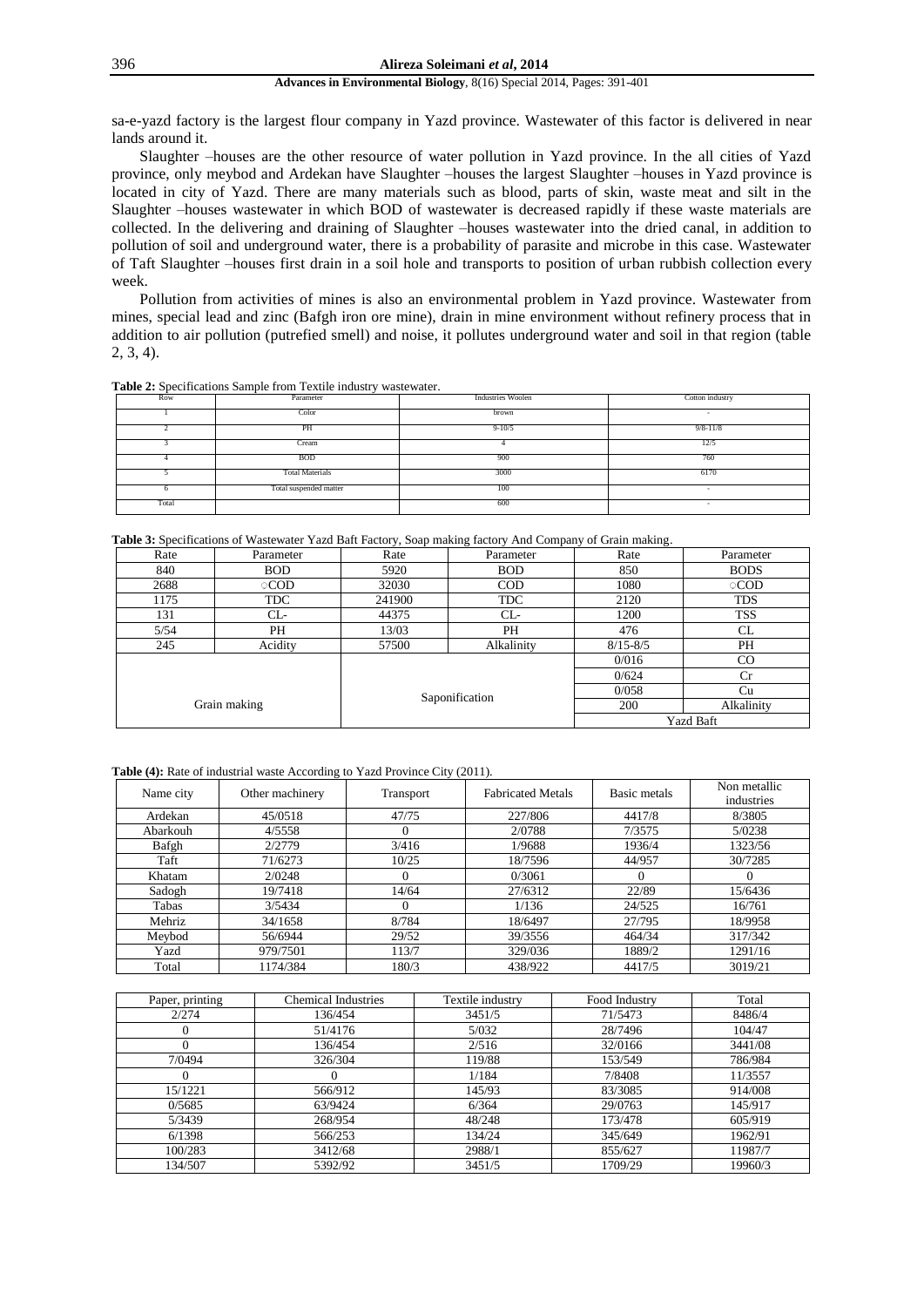### 396 **Alireza Soleimani** *et al***, 2014**

#### **Advances in Environmental Biology**, 8(16) Special 2014, Pages: 391-401

sa-e-yazd factory is the largest flour company in Yazd province. Wastewater of this factor is delivered in near lands around it.

Slaughter –houses are the other resource of water pollution in Yazd province. In the all cities of Yazd province, only meybod and Ardekan have Slaughter –houses the largest Slaughter –houses in Yazd province is located in city of Yazd. There are many materials such as blood, parts of skin, waste meat and silt in the Slaughter –houses wastewater in which BOD of wastewater is decreased rapidly if these waste materials are collected. In the delivering and draining of Slaughter –houses wastewater into the dried canal, in addition to pollution of soil and underground water, there is a probability of parasite and microbe in this case. Wastewater of Taft Slaughter –houses first drain in a soil hole and transports to position of urban rubbish collection every week.

Pollution from activities of mines is also an environmental problem in Yazd province. Wastewater from mines, special lead and zinc (Bafgh iron ore mine), drain in mine environment without refinery process that in addition to air pollution (putrefied smell) and noise, it pollutes underground water and soil in that region (table 2, 3, 4).

| <b>Table 2:</b> Specifications Sample from Textile industry was tewater. |  |  |
|--------------------------------------------------------------------------|--|--|
|--------------------------------------------------------------------------|--|--|

| Row   | Parameter              | <b>Industries Woolen</b> | Cotton industry |
|-------|------------------------|--------------------------|-----------------|
|       | Color                  | brown                    | $\sim$          |
|       | PH                     | $9 - 10/5$               | $9/8 - 11/8$    |
|       | Cream                  |                          | 12/5            |
|       | <b>BOD</b>             | 900                      | 760             |
|       | <b>Total Materials</b> | 3000                     | 6170            |
|       | Total suspended matter | 100                      | $\sim$          |
| Total |                        | 600                      | $\sim$          |

**Table 3:** Specifications of Wastewater Yazd Baft Factory, Soap making factory And Company of Grain making.

| Rate         | Parameter  | Rate<br>Parameter |            | Rate             | Parameter   |  |
|--------------|------------|-------------------|------------|------------------|-------------|--|
| 840          | <b>BOD</b> | 5920              | <b>BOD</b> | 850              | <b>BODS</b> |  |
| 2688         | <b>COD</b> | 32030             | <b>COD</b> | 1080             | <b>COD</b>  |  |
| 1175         | TDC        | 241900            | <b>TDC</b> | 2120             | <b>TDS</b>  |  |
| 131          | $CL-$      | 44375             | $CL-$      | 1200             | <b>TSS</b>  |  |
| 5/54         | PH         | 13/03             | PH         | 476              | CL.         |  |
| 245          | Acidity    | 57500             | Alkalinity | $8/15 - 8/5$     | <b>PH</b>   |  |
|              |            |                   |            | 0/016            | $_{\rm CO}$ |  |
|              |            | Saponification    |            | 0/624            | Cr          |  |
|              |            |                   |            | 0/058            | Cu          |  |
| Grain making |            |                   |            | <b>200</b>       | Alkalinity  |  |
|              |            |                   |            | <b>Yazd Baft</b> |             |  |

Table (4): Rate of industrial waste According to Yazd Province City (2011).

| Name city | Other machinery<br>Transport |       | <b>Fabricated Metals</b> | Basic metals | Non metallic<br>industries |
|-----------|------------------------------|-------|--------------------------|--------------|----------------------------|
| Ardekan   | 45/0518                      | 47/75 | 227/806                  | 4417/8       | 8/3805                     |
| Abarkouh  | 4/5558                       |       | 2/0788                   | 7/3575       | 5/0238                     |
| Bafgh     | 2/2779                       | 3/416 | 1/9688                   | 1936/4       | 1323/56                    |
| Taft      | 71/6273                      | 10/25 | 18/7596                  | 44/957       | 30/7285                    |
| Khatam    | 2/0248                       |       | 0/3061                   |              |                            |
| Sadogh    | 19/7418                      | 14/64 | 27/6312                  | 22/89        | 15/6436                    |
| Tabas     | 3/5434                       |       | 1/136                    | 24/525       | 16/761                     |
| Mehriz    | 34/1658                      | 8/784 | 18/6497                  | 27/795       | 18/9958                    |
| Meybod    | 56/6944                      | 29/52 | 39/3556                  | 464/34       | 317/342                    |
| Yazd      | 979/7501                     | 113/7 | 329/036                  | 1889/2       | 1291/16                    |
| Total     | 1174/384                     | 180/3 | 438/922                  | 4417/5       | 3019/21                    |

| Paper, printing | <b>Chemical Industries</b> | Textile industry | Food Industry | Total   |
|-----------------|----------------------------|------------------|---------------|---------|
| 2/274           | 136/454                    | 3451/5           | 71/5473       | 8486/4  |
|                 | 51/4176                    | 5/032            | 28/7496       | 104/47  |
|                 | 136/454                    | 2/516            | 32/0166       | 3441/08 |
| 7/0494          | 326/304                    | 119/88           | 153/549       | 786/984 |
|                 |                            | 1/184            | 7/8408        | 11/3557 |
| 15/1221         | 566/912                    | 145/93           | 83/3085       | 914/008 |
| 0/5685          | 63/9424                    | 6/364            | 29/0763       | 145/917 |
| 5/3439          | 268/954                    | 48/248           | 173/478       | 605/919 |
| 6/1398          | 566/253                    | 134/24           | 345/649       | 1962/91 |
| 100/283         | 3412/68                    | 2988/1           | 855/627       | 11987/7 |
| 134/507         | 5392/92                    | 3451/5           | 1709/29       | 19960/3 |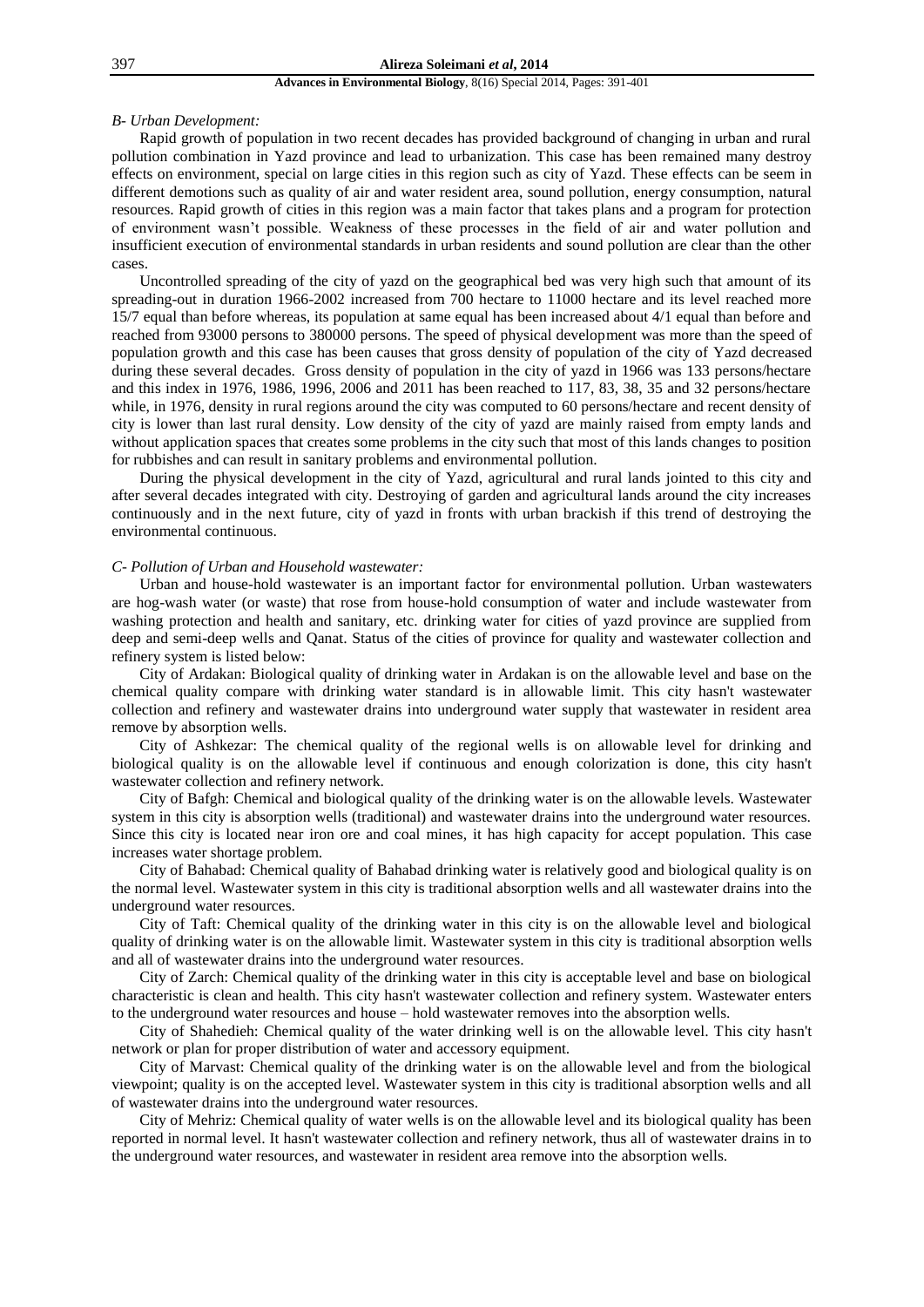#### *B- Urban Development:*

Rapid growth of population in two recent decades has provided background of changing in urban and rural pollution combination in Yazd province and lead to urbanization. This case has been remained many destroy effects on environment, special on large cities in this region such as city of Yazd. These effects can be seem in different demotions such as quality of air and water resident area, sound pollution, energy consumption, natural resources. Rapid growth of cities in this region was a main factor that takes plans and a program for protection of environment wasn't possible. Weakness of these processes in the field of air and water pollution and insufficient execution of environmental standards in urban residents and sound pollution are clear than the other cases.

Uncontrolled spreading of the city of yazd on the geographical bed was very high such that amount of its spreading-out in duration 1966-2002 increased from 700 hectare to 11000 hectare and its level reached more 15/7 equal than before whereas, its population at same equal has been increased about 4/1 equal than before and reached from 93000 persons to 380000 persons. The speed of physical development was more than the speed of population growth and this case has been causes that gross density of population of the city of Yazd decreased during these several decades. Gross density of population in the city of yazd in 1966 was 133 persons/hectare and this index in 1976, 1986, 1996, 2006 and 2011 has been reached to 117, 83, 38, 35 and 32 persons/hectare while, in 1976, density in rural regions around the city was computed to 60 persons/hectare and recent density of city is lower than last rural density. Low density of the city of yazd are mainly raised from empty lands and without application spaces that creates some problems in the city such that most of this lands changes to position for rubbishes and can result in sanitary problems and environmental pollution.

During the physical development in the city of Yazd, agricultural and rural lands jointed to this city and after several decades integrated with city. Destroying of garden and agricultural lands around the city increases continuously and in the next future, city of yazd in fronts with urban brackish if this trend of destroying the environmental continuous.

## *C- Pollution of Urban and Household wastewater:*

Urban and house-hold wastewater is an important factor for environmental pollution. Urban wastewaters are hog-wash water (or waste) that rose from house-hold consumption of water and include wastewater from washing protection and health and sanitary, etc. drinking water for cities of yazd province are supplied from deep and semi-deep wells and Qanat. Status of the cities of province for quality and wastewater collection and refinery system is listed below:

City of Ardakan: Biological quality of drinking water in Ardakan is on the allowable level and base on the chemical quality compare with drinking water standard is in allowable limit. This city hasn't wastewater collection and refinery and wastewater drains into underground water supply that wastewater in resident area remove by absorption wells.

City of Ashkezar: The chemical quality of the regional wells is on allowable level for drinking and biological quality is on the allowable level if continuous and enough colorization is done, this city hasn't wastewater collection and refinery network.

City of Bafgh: Chemical and biological quality of the drinking water is on the allowable levels. Wastewater system in this city is absorption wells (traditional) and wastewater drains into the underground water resources. Since this city is located near iron ore and coal mines, it has high capacity for accept population. This case increases water shortage problem.

City of Bahabad: Chemical quality of Bahabad drinking water is relatively good and biological quality is on the normal level. Wastewater system in this city is traditional absorption wells and all wastewater drains into the underground water resources.

City of Taft: Chemical quality of the drinking water in this city is on the allowable level and biological quality of drinking water is on the allowable limit. Wastewater system in this city is traditional absorption wells and all of wastewater drains into the underground water resources.

City of Zarch: Chemical quality of the drinking water in this city is acceptable level and base on biological characteristic is clean and health. This city hasn't wastewater collection and refinery system. Wastewater enters to the underground water resources and house – hold wastewater removes into the absorption wells.

City of Shahedieh: Chemical quality of the water drinking well is on the allowable level. This city hasn't network or plan for proper distribution of water and accessory equipment.

City of Marvast: Chemical quality of the drinking water is on the allowable level and from the biological viewpoint; quality is on the accepted level. Wastewater system in this city is traditional absorption wells and all of wastewater drains into the underground water resources.

City of Mehriz: Chemical quality of water wells is on the allowable level and its biological quality has been reported in normal level. It hasn't wastewater collection and refinery network, thus all of wastewater drains in to the underground water resources, and wastewater in resident area remove into the absorption wells.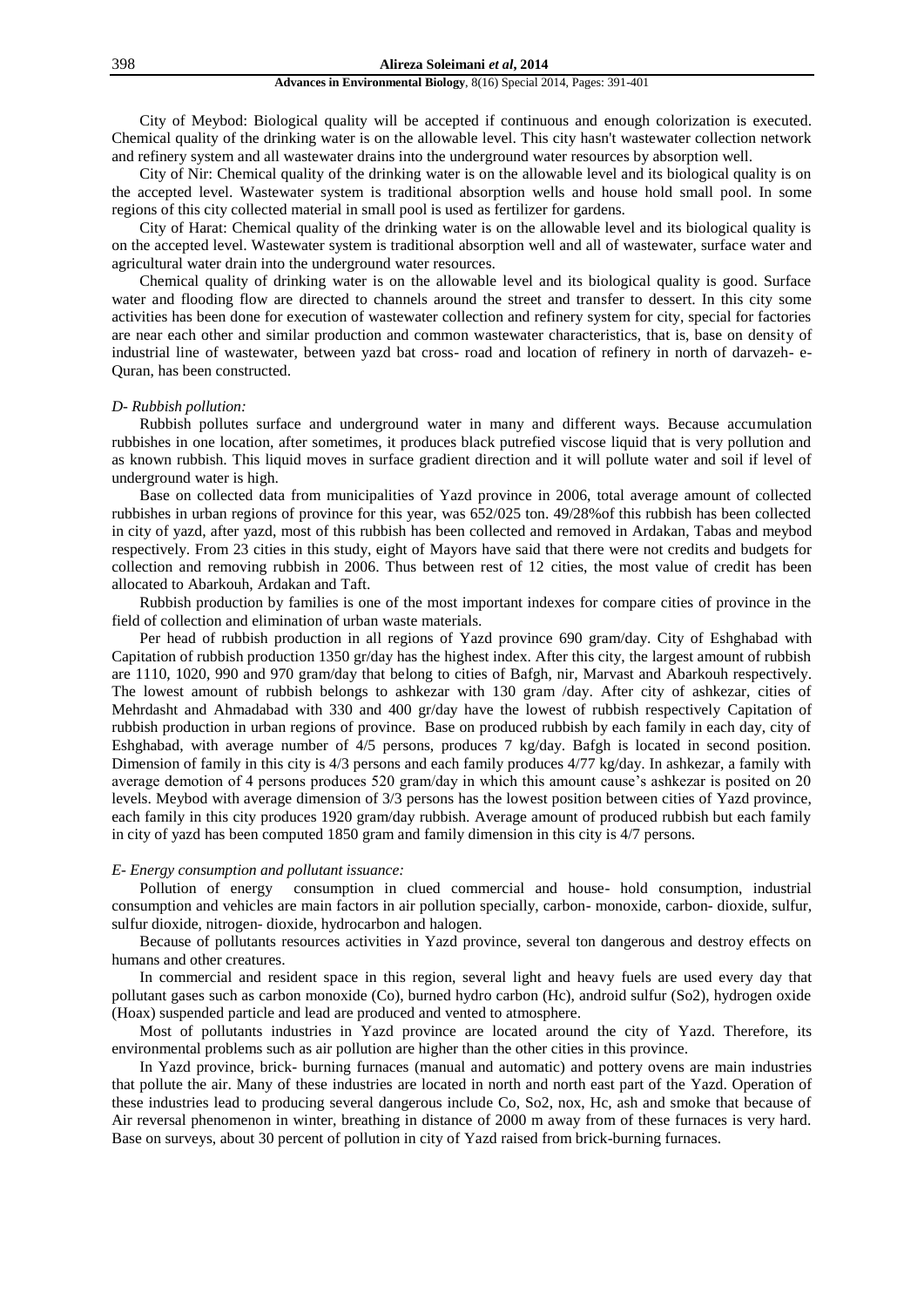City of Meybod: Biological quality will be accepted if continuous and enough colorization is executed. Chemical quality of the drinking water is on the allowable level. This city hasn't wastewater collection network and refinery system and all wastewater drains into the underground water resources by absorption well.

City of Nir: Chemical quality of the drinking water is on the allowable level and its biological quality is on the accepted level. Wastewater system is traditional absorption wells and house hold small pool. In some regions of this city collected material in small pool is used as fertilizer for gardens.

City of Harat: Chemical quality of the drinking water is on the allowable level and its biological quality is on the accepted level. Wastewater system is traditional absorption well and all of wastewater, surface water and agricultural water drain into the underground water resources.

Chemical quality of drinking water is on the allowable level and its biological quality is good. Surface water and flooding flow are directed to channels around the street and transfer to dessert. In this city some activities has been done for execution of wastewater collection and refinery system for city, special for factories are near each other and similar production and common wastewater characteristics, that is, base on density of industrial line of wastewater, between yazd bat cross- road and location of refinery in north of darvazeh- e-Quran, has been constructed.

## *D- Rubbish pollution:*

Rubbish pollutes surface and underground water in many and different ways. Because accumulation rubbishes in one location, after sometimes, it produces black putrefied viscose liquid that is very pollution and as known rubbish. This liquid moves in surface gradient direction and it will pollute water and soil if level of underground water is high.

Base on collected data from municipalities of Yazd province in 2006, total average amount of collected rubbishes in urban regions of province for this year, was 652/025 ton. 49/28%of this rubbish has been collected in city of yazd, after yazd, most of this rubbish has been collected and removed in Ardakan, Tabas and meybod respectively. From 23 cities in this study, eight of Mayors have said that there were not credits and budgets for collection and removing rubbish in 2006. Thus between rest of 12 cities, the most value of credit has been allocated to Abarkouh, Ardakan and Taft.

Rubbish production by families is one of the most important indexes for compare cities of province in the field of collection and elimination of urban waste materials.

Per head of rubbish production in all regions of Yazd province 690 gram/day. City of Eshghabad with Capitation of rubbish production 1350 gr/day has the highest index. After this city, the largest amount of rubbish are 1110, 1020, 990 and 970 gram/day that belong to cities of Bafgh, nir, Marvast and Abarkouh respectively. The lowest amount of rubbish belongs to ashkezar with 130 gram /day. After city of ashkezar, cities of Mehrdasht and Ahmadabad with 330 and 400 gr/day have the lowest of rubbish respectively Capitation of rubbish production in urban regions of province. Base on produced rubbish by each family in each day, city of Eshghabad, with average number of 4/5 persons, produces 7 kg/day. Bafgh is located in second position. Dimension of family in this city is 4/3 persons and each family produces 4/77 kg/day. In ashkezar, a family with average demotion of 4 persons produces 520 gram/day in which this amount cause's ashkezar is posited on 20 levels. Meybod with average dimension of 3/3 persons has the lowest position between cities of Yazd province, each family in this city produces 1920 gram/day rubbish. Average amount of produced rubbish but each family in city of yazd has been computed 1850 gram and family dimension in this city is 4/7 persons.

#### *E- Energy consumption and pollutant issuance:*

Pollution of energy consumption in clued commercial and house- hold consumption, industrial consumption and vehicles are main factors in air pollution specially, carbon- monoxide, carbon- dioxide, sulfur, sulfur dioxide, nitrogen- dioxide, hydrocarbon and halogen.

Because of pollutants resources activities in Yazd province, several ton dangerous and destroy effects on humans and other creatures.

In commercial and resident space in this region, several light and heavy fuels are used every day that pollutant gases such as carbon monoxide (Co), burned hydro carbon (Hc), android sulfur (So2), hydrogen oxide (Hoax) suspended particle and lead are produced and vented to atmosphere.

Most of pollutants industries in Yazd province are located around the city of Yazd. Therefore, its environmental problems such as air pollution are higher than the other cities in this province.

In Yazd province, brick- burning furnaces (manual and automatic) and pottery ovens are main industries that pollute the air. Many of these industries are located in north and north east part of the Yazd. Operation of these industries lead to producing several dangerous include Co, So2, nox, Hc, ash and smoke that because of Air reversal phenomenon in winter, breathing in distance of 2000 m away from of these furnaces is very hard. Base on surveys, about 30 percent of pollution in city of Yazd raised from brick-burning furnaces.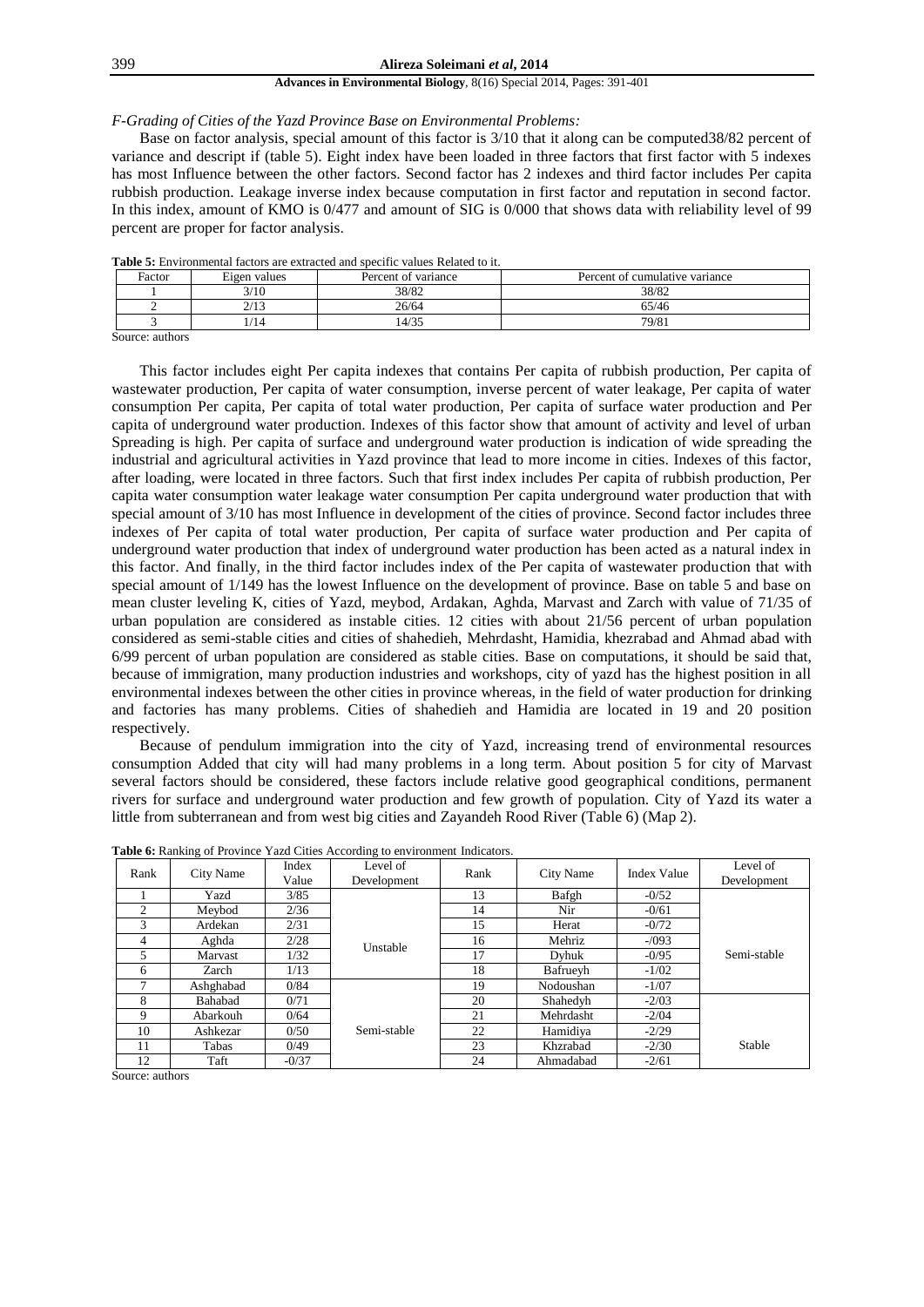*F-Grading of Cities of the Yazd Province Base on Environmental Problems:*

Base on factor analysis, special amount of this factor is 3/10 that it along can be computed38/82 percent of variance and descript if (table 5). Eight index have been loaded in three factors that first factor with 5 indexes has most Influence between the other factors. Second factor has 2 indexes and third factor includes Per capita rubbish production. Leakage inverse index because computation in first factor and reputation in second factor. In this index, amount of KMO is 0/477 and amount of SIG is 0/000 that shows data with reliability level of 99 percent are proper for factor analysis.

| Factor | Eigen values    | Percent of variance | Percent of cumulative variance |
|--------|-----------------|---------------------|--------------------------------|
|        | 3/10            | 38/82               | 38/82                          |
|        | 212<br><u>.</u> | 26/64               | 65/46                          |
|        | -14             | .4/35               | 79/81                          |

**Table 5:** Environmental factors are extracted and specific values Related to it.

Source: authors

This factor includes eight Per capita indexes that contains Per capita of rubbish production, Per capita of wastewater production, Per capita of water consumption, inverse percent of water leakage, Per capita of water consumption Per capita, Per capita of total water production, Per capita of surface water production and Per capita of underground water production. Indexes of this factor show that amount of activity and level of urban Spreading is high. Per capita of surface and underground water production is indication of wide spreading the industrial and agricultural activities in Yazd province that lead to more income in cities. Indexes of this factor, after loading, were located in three factors. Such that first index includes Per capita of rubbish production, Per capita water consumption water leakage water consumption Per capita underground water production that with special amount of 3/10 has most Influence in development of the cities of province. Second factor includes three indexes of Per capita of total water production, Per capita of surface water production and Per capita of underground water production that index of underground water production has been acted as a natural index in this factor. And finally, in the third factor includes index of the Per capita of wastewater production that with special amount of 1/149 has the lowest Influence on the development of province. Base on table 5 and base on mean cluster leveling K, cities of Yazd, meybod, Ardakan, Aghda, Marvast and Zarch with value of 71/35 of urban population are considered as instable cities. 12 cities with about 21/56 percent of urban population considered as semi-stable cities and cities of shahedieh, Mehrdasht, Hamidia, khezrabad and Ahmad abad with 6/99 percent of urban population are considered as stable cities. Base on computations, it should be said that, because of immigration, many production industries and workshops, city of yazd has the highest position in all environmental indexes between the other cities in province whereas, in the field of water production for drinking and factories has many problems. Cities of shahedieh and Hamidia are located in 19 and 20 position respectively.

Because of pendulum immigration into the city of Yazd, increasing trend of environmental resources consumption Added that city will had many problems in a long term. About position 5 for city of Marvast several factors should be considered, these factors include relative good geographical conditions, permanent rivers for surface and underground water production and few growth of population. City of Yazd its water a little from subterranean and from west big cities and Zayandeh Rood River (Table 6) (Map 2).

| Rank | City Name | Index   | Level of    | Rank | City Name | Index Value | Level of    |
|------|-----------|---------|-------------|------|-----------|-------------|-------------|
|      |           | Value   | Development |      |           |             | Development |
|      | Yazd      | 3/85    |             | 13   | Bafgh     | $-0/52$     |             |
| 2    | Mevbod    | 2/36    |             | 14   | Nir       | $-0/61$     |             |
| 3    | Ardekan   | 2/31    |             | 15   | Herat     | $-0/72$     |             |
| 4    | Aghda     | 2/28    | Unstable    | 16   | Mehriz    | $-1093$     |             |
| 5    | Marvast   | 1/32    |             | 17   | Dyhuk     | $-0/95$     | Semi-stable |
| 6    | Zarch     | 1/13    |             | 18   | Bafrueyh  | $-1/02$     |             |
| 7    | Ashghabad | 0/84    |             | 19   | Nodoushan | $-1/07$     |             |
| 8    | Bahabad   | 0/71    |             | 20   | Shahedyh  | $-2/03$     |             |
| 9    | Abarkouh  | 0/64    |             | 21   | Mehrdasht | $-2/04$     |             |
| 10   | Ashkezar  | 0/50    | Semi-stable | 22   | Hamidiya  | $-2/29$     |             |
| 11   | Tabas     | 0/49    |             | 23   | Khzrabad  | $-2/30$     | Stable      |
| 12   | Taft      | $-0/37$ |             | 24   | Ahmadabad | $-2/61$     |             |

| Table 6: Ranking of Province Yazd Cities According to environment Indicators. |  |  |  |  |  |
|-------------------------------------------------------------------------------|--|--|--|--|--|
|-------------------------------------------------------------------------------|--|--|--|--|--|

Source: authors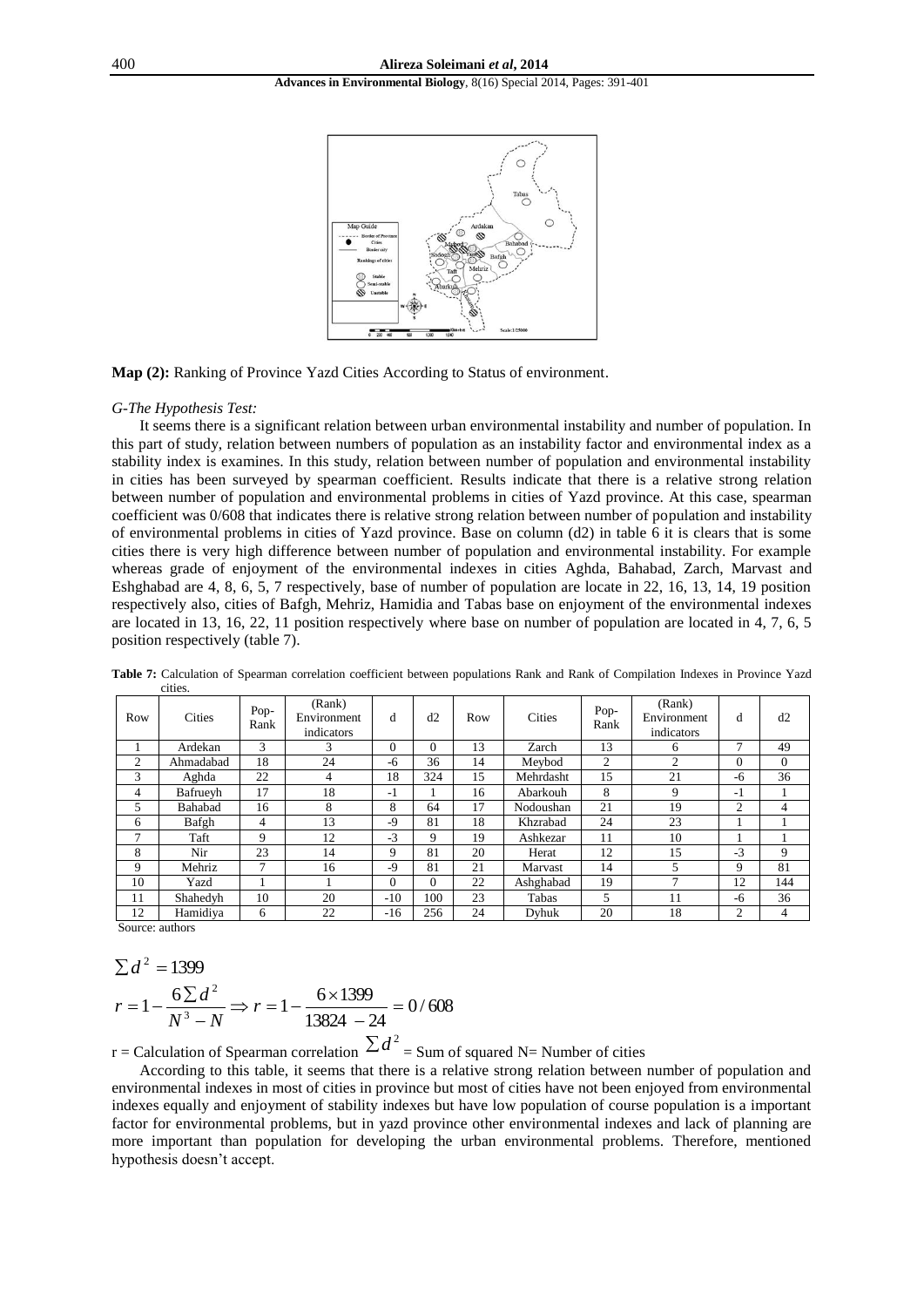

**Map (2):** Ranking of Province Yazd Cities According to Status of environment.

#### *G-The Hypothesis Test:*

It seems there is a significant relation between urban environmental instability and number of population. In this part of study, relation between numbers of population as an instability factor and environmental index as a stability index is examines. In this study, relation between number of population and environmental instability in cities has been surveyed by spearman coefficient. Results indicate that there is a relative strong relation between number of population and environmental problems in cities of Yazd province. At this case, spearman coefficient was 0/608 that indicates there is relative strong relation between number of population and instability of environmental problems in cities of Yazd province. Base on column (d2) in table 6 it is clears that is some cities there is very high difference between number of population and environmental instability. For example whereas grade of enjoyment of the environmental indexes in cities Aghda, Bahabad, Zarch, Marvast and Eshghabad are 4, 8, 6, 5, 7 respectively, base of number of population are locate in 22, 16, 13, 14, 19 position respectively also, cities of Bafgh, Mehriz, Hamidia and Tabas base on enjoyment of the environmental indexes are located in 13, 16, 22, 11 position respectively where base on number of population are located in 4, 7, 6, 5 position respectively (table 7).

| Row            | Cities    | Pop-<br>Rank | (Rank)<br>Environment<br>indicators | d        | d2       | Row | Cities    | Pop-<br>Rank | (Rank)<br>Environment<br>indicators | d             | d2       |
|----------------|-----------|--------------|-------------------------------------|----------|----------|-----|-----------|--------------|-------------------------------------|---------------|----------|
|                | Ardekan   | 3            | 3                                   | $\Omega$ | $\Omega$ | 13  | Zarch     | 13           | 6                                   | $\mathcal{I}$ | 49       |
| $\overline{c}$ | Ahmadabad | 18           | 24                                  | -6       | 36       | 14  | Meybod    | 2            | $\overline{c}$                      | $\theta$      | $\Omega$ |
| 3              | Aghda     | 22           | 4                                   | 18       | 324      | 15  | Mehrdasht | 15           | 21                                  | -6            | 36       |
| 4              | Bafrueyh  | 17           | 18                                  | $-1$     |          | 16  | Abarkouh  | 8            | 9                                   | $-1$          |          |
| 5              | Bahabad   | 16           | 8                                   | 8        | 64       | 17  | Nodoushan | 21           | 19                                  | 2             | 4        |
| 6              | Bafgh     | 4            | 13                                  | $-9$     | 81       | 18  | Khzrabad  | 24           | 23                                  |               |          |
| $\mathbf{r}$   | Taft      | 9            | 12                                  | $-3$     | 9        | 19  | Ashkezar  | 11           | 10                                  |               |          |
| 8              | Nir       | 23           | 14                                  | 9        | 81       | 20  | Herat     | 12           | 15                                  | $-3$          | 9        |
| 9              | Mehriz    | $\mathbf{r}$ | 16                                  | $-9$     | 81       | 21  | Marvast   | 14           | 5                                   | 9             | 81       |
| 10             | Yazd      |              |                                     | $\Omega$ | $\Omega$ | 22  | Ashghabad | 19           | 7                                   | 12            | 144      |
| 11             | Shahedyh  | 10           | 20                                  | $-10$    | 100      | 23  | Tabas     | 5            | 11                                  | $-6$          | 36       |
| 12             | Hamidiya  | 6            | 22                                  | $-16$    | 256      | 24  | Dyhuk     | 20           | 18                                  | 2             | 4        |

**Table 7:** Calculation of Spearman correlation coefficient between populations Rank and Rank of Compilation Indexes in Province Yazd cities.

Source: authors

$$
\sum d^2 = 1399
$$

$$
r = 1 - \frac{6\sum d^2}{N^3 - N} \Rightarrow r = 1 - \frac{6 \times 1399}{13824 - 24} = 0/608
$$

r = Calculation of Spearman correlation  $\sum d^2$  = Sum of squared N= Number of cities

According to this table, it seems that there is a relative strong relation between number of population and environmental indexes in most of cities in province but most of cities have not been enjoyed from environmental indexes equally and enjoyment of stability indexes but have low population of course population is a important factor for environmental problems, but in yazd province other environmental indexes and lack of planning are more important than population for developing the urban environmental problems. Therefore, mentioned hypothesis doesn't accept.